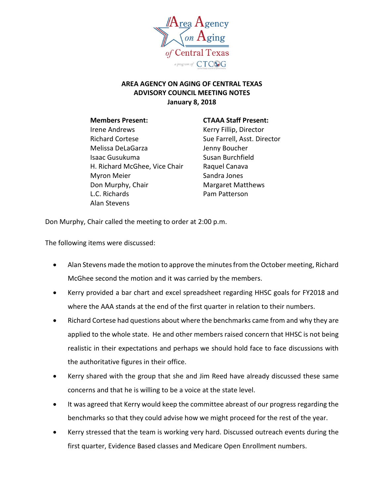

## **AREA AGENCY ON AGING OF CENTRAL TEXAS ADVISORY COUNCIL MEETING NOTES January 8, 2018**

Irene Andrews The Record Records Records Records Records Records Records Records Records Records Records Record Richard Cortese Sue Farrell, Asst. Director Melissa DeLaGarza **Jenny Boucher** Isaac Gusukuma Susan Burchfield H. Richard McGhee, Vice Chair Raquel Canava Myron Meier **Sandra Jones** Don Murphy, Chair **Margaret Matthews** L.C. Richards **Pam Patterson** Alan Stevens

## **Members Present: CTAAA Staff Present:**

Don Murphy, Chair called the meeting to order at 2:00 p.m.

The following items were discussed:

- Alan Stevens made the motion to approve the minutes from the October meeting, Richard McGhee second the motion and it was carried by the members.
- Kerry provided a bar chart and excel spreadsheet regarding HHSC goals for FY2018 and where the AAA stands at the end of the first quarter in relation to their numbers.
- Richard Cortese had questions about where the benchmarks came from and why they are applied to the whole state. He and other members raised concern that HHSC is not being realistic in their expectations and perhaps we should hold face to face discussions with the authoritative figures in their office.
- Kerry shared with the group that she and Jim Reed have already discussed these same concerns and that he is willing to be a voice at the state level.
- It was agreed that Kerry would keep the committee abreast of our progress regarding the benchmarks so that they could advise how we might proceed for the rest of the year.
- Kerry stressed that the team is working very hard. Discussed outreach events during the first quarter, Evidence Based classes and Medicare Open Enrollment numbers.